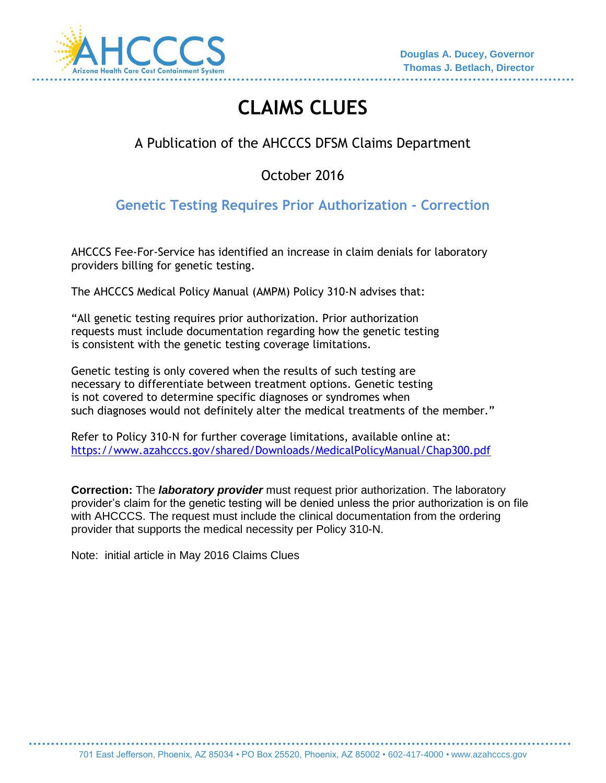

# **CLAIMS CLUES**

## A Publication of the AHCCCS DFSM Claims Department

October 2016

## **Genetic Testing Requires Prior Authorization - Correction**

AHCCCS Fee-For-Service has identified an increase in claim denials for laboratory providers billing for genetic testing.

The AHCCCS Medical Policy Manual (AMPM) Policy 310-N advises that:

"All genetic testing requires prior authorization. Prior authorization requests must include documentation regarding how the genetic testing is consistent with the genetic testing coverage limitations.

Genetic testing is only covered when the results of such testing are necessary to differentiate between treatment options. Genetic testing is not covered to determine specific diagnoses or syndromes when such diagnoses would not definitely alter the medical treatments of the member."

Refer to Policy 310-N for further coverage limitations, available online at: <https://www.azahcccs.gov/shared/Downloads/MedicalPolicyManual/Chap300.pdf>

**Correction:** The *laboratory provider* must request prior authorization. The laboratory provider's claim for the genetic testing will be denied unless the prior authorization is on file with AHCCCS. The request must include the clinical documentation from the ordering provider that supports the medical necessity per Policy 310-N.

Note: initial article in May 2016 Claims Clues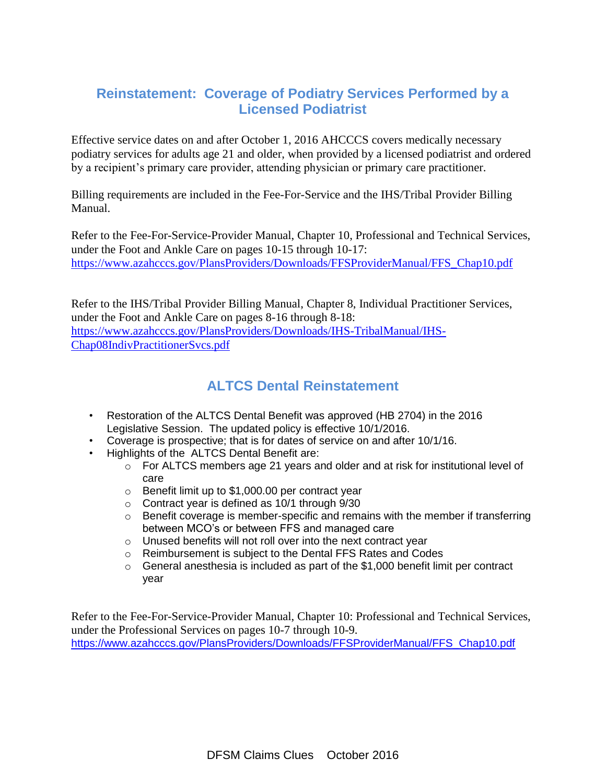#### **Reinstatement: Coverage of Podiatry Services Performed by a Licensed Podiatrist**

Effective service dates on and after October 1, 2016 AHCCCS covers medically necessary podiatry services for adults age 21 and older, when provided by a licensed podiatrist and ordered by a recipient's primary care provider, attending physician or primary care practitioner.

Billing requirements are included in the Fee-For-Service and the IHS/Tribal Provider Billing Manual.

Refer to the Fee-For-Service-Provider Manual, Chapter 10, Professional and Technical Services, under the Foot and Ankle Care on pages 10-15 through 10-17: [https://www.azahcccs.gov/PlansProviders/Downloads/FFSProviderManual/FFS\\_Chap10.pdf](https://www.azahcccs.gov/PlansProviders/Downloads/FFSProviderManual/FFS_Chap10.pdf)

Refer to the IHS/Tribal Provider Billing Manual, Chapter 8, Individual Practitioner Services, under the Foot and Ankle Care on pages 8-16 through 8-18: [https://www.azahcccs.gov/PlansProviders/Downloads/IHS-TribalManual/IHS-](https://www.azahcccs.gov/PlansProviders/Downloads/IHS-TribalManual/IHS-Chap08IndivPractitionerSvcs.pdf)[Chap08IndivPractitionerSvcs.pdf](https://www.azahcccs.gov/PlansProviders/Downloads/IHS-TribalManual/IHS-Chap08IndivPractitionerSvcs.pdf)

#### **ALTCS Dental Reinstatement**

- Restoration of the ALTCS Dental Benefit was approved (HB 2704) in the 2016 Legislative Session. The updated policy is effective 10/1/2016.
- Coverage is prospective; that is for dates of service on and after 10/1/16.
- Highlights of the ALTCS Dental Benefit are:
	- $\circ$  For ALTCS members age 21 years and older and at risk for institutional level of care
	- o Benefit limit up to \$1,000.00 per contract year
	- o Contract year is defined as 10/1 through 9/30
	- o Benefit coverage is member-specific and remains with the member if transferring between MCO's or between FFS and managed care
	- o Unused benefits will not roll over into the next contract year
	- o Reimbursement is subject to the Dental FFS Rates and Codes
	- o General anesthesia is included as part of the \$1,000 benefit limit per contract year

Refer to the Fee-For-Service-Provider Manual, Chapter 10: Professional and Technical Services, under the Professional Services on pages 10-7 through 10-9. [https://www.azahcccs.gov/PlansProviders/Downloads/FFSProviderManual/FFS\\_Chap10.pdf](https://www.azahcccs.gov/PlansProviders/Downloads/FFSProviderManual/FFS_Chap10.pdf)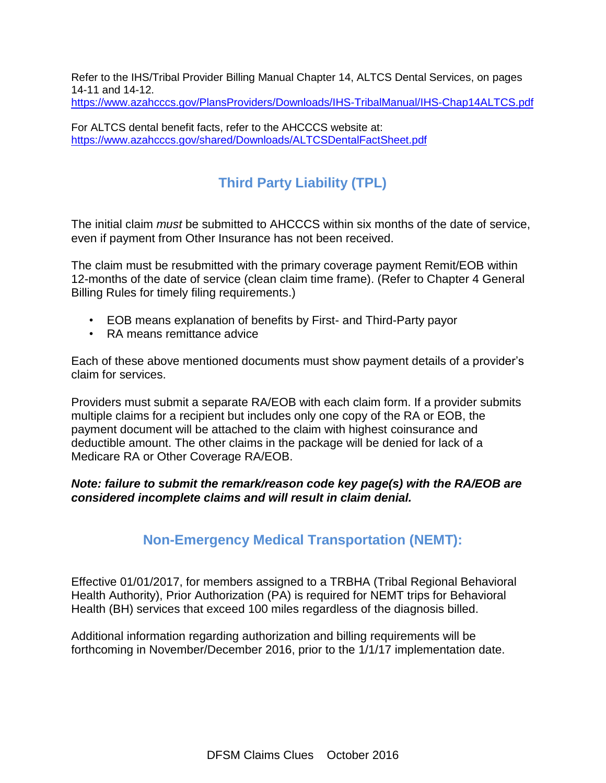Refer to the IHS/Tribal Provider Billing Manual Chapter 14, ALTCS Dental Services, on pages 14-11 and 14-12. <https://www.azahcccs.gov/PlansProviders/Downloads/IHS-TribalManual/IHS-Chap14ALTCS.pdf>

For ALTCS dental benefit facts, refer to the AHCCCS website at: <https://www.azahcccs.gov/shared/Downloads/ALTCSDentalFactSheet.pdf>

## **Third Party Liability (TPL)**

The initial claim *must* be submitted to AHCCCS within six months of the date of service, even if payment from Other Insurance has not been received.

The claim must be resubmitted with the primary coverage payment Remit/EOB within 12-months of the date of service (clean claim time frame). (Refer to Chapter 4 General Billing Rules for timely filing requirements.)

- EOB means explanation of benefits by First- and Third-Party payor
- RA means remittance advice

Each of these above mentioned documents must show payment details of a provider's claim for services.

Providers must submit a separate RA/EOB with each claim form. If a provider submits multiple claims for a recipient but includes only one copy of the RA or EOB, the payment document will be attached to the claim with highest coinsurance and deductible amount. The other claims in the package will be denied for lack of a Medicare RA or Other Coverage RA/EOB.

#### *Note: failure to submit the remark/reason code key page(s) with the RA/EOB are considered incomplete claims and will result in claim denial.*

#### **Non-Emergency Medical Transportation (NEMT):**

Effective 01/01/2017, for members assigned to a TRBHA (Tribal Regional Behavioral Health Authority), Prior Authorization (PA) is required for NEMT trips for Behavioral Health (BH) services that exceed 100 miles regardless of the diagnosis billed.

Additional information regarding authorization and billing requirements will be forthcoming in November/December 2016, prior to the 1/1/17 implementation date.